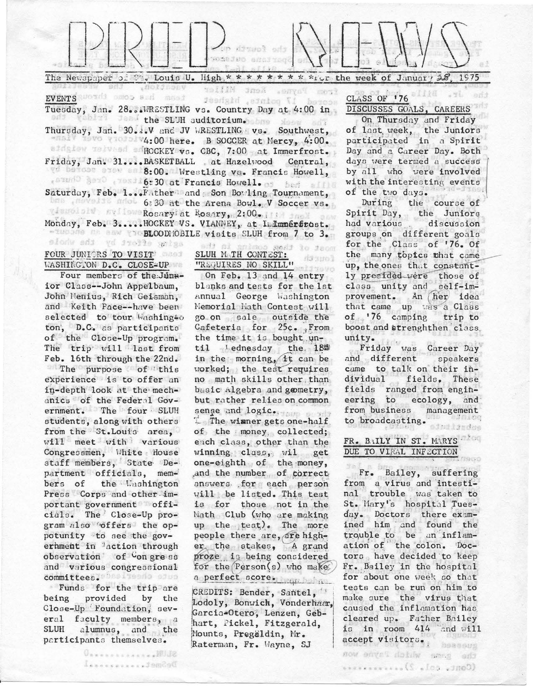

The Newspaper of  $\mathbb{S}_*$  Louis U. High, \* \* \* \* \* \* \* \* \* ior the week of January  $\mathcal{A}$ 1975

#### vnokárony YollN JnoX senyny gest EVENTS ANOTHE ORIOS ALL MASS secred 17 points, highest

Tuesday, Jan. 28. WRESTLING vs. Country Day at 4:00 in vehicle dend the SLUH auditorium. Some show only

Thursday, Jan. 30. .. V and JV WRESTLING vs. Southwest, 1986 Washington Mere. B SOCCER at Mercy, 4:00. afdatew melvesd schockEY vs. CBC, 7:00 pat Immerfrost. Friday, Jan. 31....BASKETBALL at Hazelvood Central, wd behose exce on 8:00. Wrestling vs. Francis Howell, estudo Bero erasiló: 30 at Francis Howell. os bed allis

Saturday, Feb. 1...Father and Son Bowling Tournament, was moved and 6:30 at the Arena Bowl. V Soccer vs. gissolalw myffeweRosaryiat Rosary, 2:00, Illi anel anw

Monday, Feb. 3..... HOCKEY VS. VIANNEY, at Indumérérost. -THOMAS MARK CODE BLOODMOBILE visits SLUH from 7 to 3. sione sdi yd itolie anias

## FOUR JUNIORS TO VISIT WASHINGTON D.C. CLOSE=UP

Four members of the Junnior Class--John Appelbaum, John Menius, Rich Geisman, and Keith Pace--have been selected to tour Washingto ton, D.C. as participants of the Close-Up program. The trip will last from Feb. 16th through the 22nd. The purpose of this experience is to offer an in-depth look at the mechanics of the Federal Government. The four SLUH students, along with others from the St. Louis area. will meet with various Congressmen, White House staff members, State Department officials, memthe Uashington bers of Press Corps and other important government officials. The Close-Up program also offers the oppotunity to see the goverhment in <sup>3</sup>action through observation of Congress and various congressional committees. Destitute of the

Funds for the trip are being provided by the Close-Up Foundation, several faculty members, a SLUH alumnus, and the participants themselves.

*UnweresserverEULE* 

Linears ......Jem2s0

#### ad) ai enimo mat lo Jaom SLUH M TH CONTEST: "REQUIRES NO SKILL"

al fusuc On Feb. 13 and 14 entry blanks and tests for the lst Annual George Washington Memorial Hath Contest will go on sale outside the Cafeteria for  $25c$ . From the time it is bought until lednesday the 18th in the morning, it can be worked; the test requires no math skills other than basic Algebra and geometry, but rather relies on common sense and logic.

da spol

The winner gets one-half of the money collected; each class, other than the winning class, wil get one-eighth of the money, and the number of correct answers for each person will be listed. This test is for those not in the Math Club (who are making up the test). The more people there are, are higher the stakes, A grand proze is being considered for the Person(s) who makes a perfect score. The band

CREDITS: Bender, Santel, Lodoly, Bonwick, Vonderhaar, Garcia-Otero, Lenzen, Gebhart, Pickel, Fitzgerald, Mounts, Pregaldin, Mr. Raterman, Fr. Wayne, SJ

# CLASS OF 176 DISCUSSES GOALS, CAREERS

 $-11.$ 

On Thursday and Friday of last, week, the Juniors participated in a Spirit Day and a Career Day. Both days were termed a success by all who were involved with the interesting events of the two days.

During the course of Spirit Day, th the Juniors had various discussion groups on different goals for the Class of '76. Of the many topics that came up, the ones that constantly presided were those of class unity and self-improvement. An her idea that came up was a Class of  $'76$  camping trip to boost and strenghthen class. unity.

Friday was Career Day and different speakers came to talk on their individual fields, These fields ranged from engineering to ecology, and from business management to broadcasting. edatifados

### FR. BAILY IN ST. MARYS DUE TO VIRAL INFECTION

Fr. Bailey, suffering from a virus and intestitrouble was taken to  $nal$ St. Mary's hospital Tuesday. Doctors there examined him and found the<br>trouble to be an inflamation of the colon. Doctors have decided to keep Fr. Bailey in the hospital for about one week so that tests can be run on him to the virus that make sure caused the inflamation has cleared up. Father Bailey is in room 414 and will accept visitors. 3988601

the eare widels Payne won